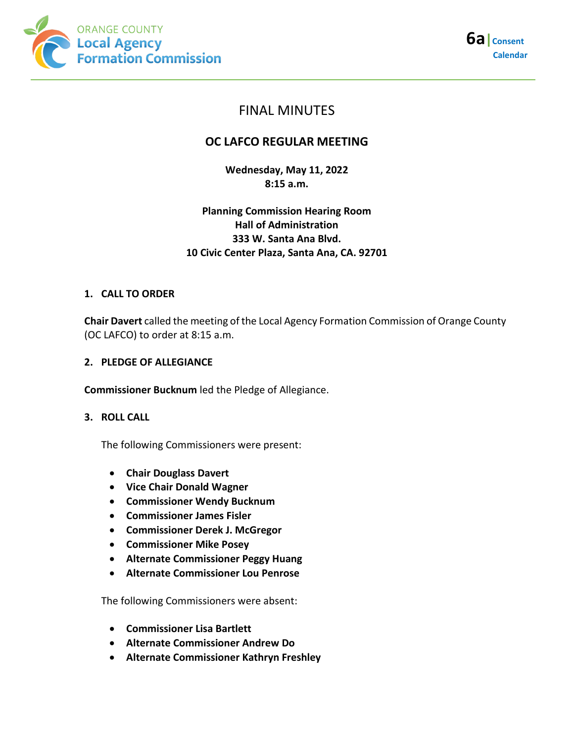



# FINAL MINUTES

# **OC LAFCO REGULAR MEETING**

**Wednesday, May 11, 2022 8:15 a.m.**

# **Planning Commission Hearing Room Hall of Administration 333 W. Santa Ana Blvd. 10 Civic Center Plaza, Santa Ana, CA. 92701**

## **1. CALL TO ORDER**

**Chair Davert** called the meeting of the Local Agency Formation Commission of Orange County (OC LAFCO) to order at 8:15 a.m.

### **2. PLEDGE OF ALLEGIANCE**

**Commissioner Bucknum** led the Pledge of Allegiance.

### **3. ROLL CALL**

The following Commissioners were present:

- **Chair Douglass Davert**
- **Vice Chair Donald Wagner**
- **Commissioner Wendy Bucknum**
- **Commissioner James Fisler**
- **Commissioner Derek J. McGregor**
- **Commissioner Mike Posey**
- **Alternate Commissioner Peggy Huang**
- **Alternate Commissioner Lou Penrose**

The following Commissioners were absent:

- **Commissioner Lisa Bartlett**
- **Alternate Commissioner Andrew Do**
- **Alternate Commissioner Kathryn Freshley**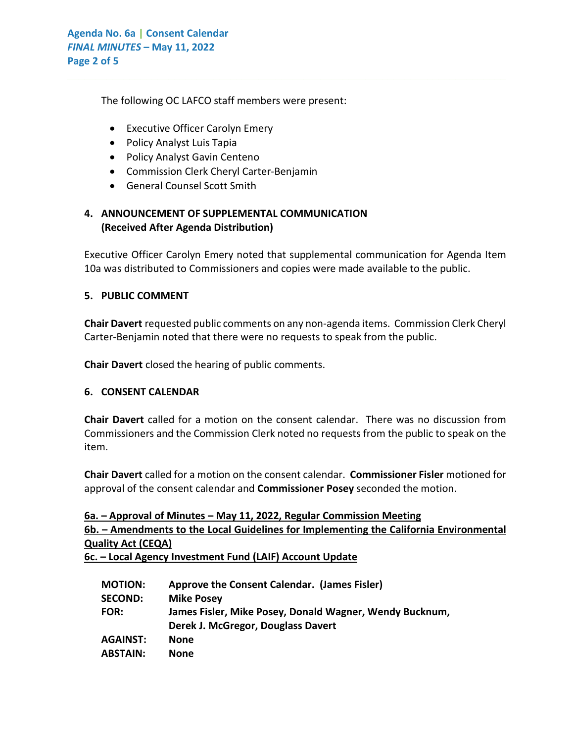The following OC LAFCO staff members were present:

- Executive Officer Carolyn Emery
- Policy Analyst Luis Tapia
- Policy Analyst Gavin Centeno
- Commission Clerk Cheryl Carter-Benjamin
- General Counsel Scott Smith

# **4. ANNOUNCEMENT OF SUPPLEMENTAL COMMUNICATION (Received After Agenda Distribution)**

Executive Officer Carolyn Emery noted that supplemental communication for Agenda Item 10a was distributed to Commissioners and copies were made available to the public.

 $\_$  , and the set of the set of the set of the set of the set of the set of the set of the set of the set of the set of the set of the set of the set of the set of the set of the set of the set of the set of the set of th

### **5. PUBLIC COMMENT**

**Chair Davert** requested public comments on any non-agenda items. Commission Clerk Cheryl Carter-Benjamin noted that there were no requests to speak from the public.

**Chair Davert** closed the hearing of public comments.

### **6. CONSENT CALENDAR**

**Chair Davert** called for a motion on the consent calendar. There was no discussion from Commissioners and the Commission Clerk noted no requests from the public to speak on the item.

**Chair Davert** called for a motion on the consent calendar. **Commissioner Fisler** motioned for approval of the consent calendar and **Commissioner Posey** seconded the motion.

| 6a. – Approval of Minutes – May 11, 2022, Regular Commission Meeting                   |
|----------------------------------------------------------------------------------------|
| 6b. – Amendments to the Local Guidelines for Implementing the California Environmental |
| <b>Quality Act (CEQA)</b>                                                              |
|                                                                                        |

**6c. – Local Agency Investment Fund (LAIF) Account Update**

| <b>MOTION:</b>  | Approve the Consent Calendar. (James Fisler)            |
|-----------------|---------------------------------------------------------|
| <b>SECOND:</b>  | <b>Mike Posey</b>                                       |
| <b>FOR:</b>     | James Fisler, Mike Posey, Donald Wagner, Wendy Bucknum, |
|                 | Derek J. McGregor, Douglass Davert                      |
| <b>AGAINST:</b> | None                                                    |
| <b>ABSTAIN:</b> | <b>None</b>                                             |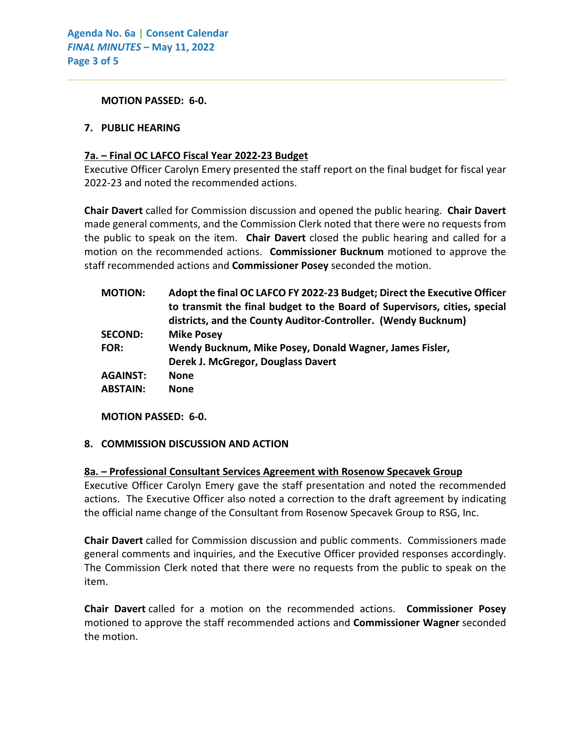**MOTION PASSED: 6-0.**

#### **7. PUBLIC HEARING**

#### **7a. – Final OC LAFCO Fiscal Year 2022-23 Budget**

Executive Officer Carolyn Emery presented the staff report on the final budget for fiscal year 2022-23 and noted the recommended actions.

 $\_$  , and the set of the set of the set of the set of the set of the set of the set of the set of the set of the set of the set of the set of the set of the set of the set of the set of the set of the set of the set of th

**Chair Davert** called for Commission discussion and opened the public hearing. **Chair Davert** made general comments, and the Commission Clerk noted that there were no requests from the public to speak on the item. **Chair Davert** closed the public hearing and called for a motion on the recommended actions. **Commissioner Bucknum** motioned to approve the staff recommended actions and **Commissioner Posey** seconded the motion.

| <b>MOTION:</b>  | Adopt the final OC LAFCO FY 2022-23 Budget; Direct the Executive Officer<br>to transmit the final budget to the Board of Supervisors, cities, special<br>districts, and the County Auditor-Controller. (Wendy Bucknum) |
|-----------------|------------------------------------------------------------------------------------------------------------------------------------------------------------------------------------------------------------------------|
| <b>SECOND:</b>  | <b>Mike Posey</b>                                                                                                                                                                                                      |
| <b>FOR:</b>     | Wendy Bucknum, Mike Posey, Donald Wagner, James Fisler,                                                                                                                                                                |
|                 | Derek J. McGregor, Douglass Davert                                                                                                                                                                                     |
| <b>AGAINST:</b> | <b>None</b>                                                                                                                                                                                                            |
| <b>ABSTAIN:</b> | <b>None</b>                                                                                                                                                                                                            |
|                 |                                                                                                                                                                                                                        |

**MOTION PASSED: 6-0.**

### **8. COMMISSION DISCUSSION AND ACTION**

#### **8a. – Professional Consultant Services Agreement with Rosenow Specavek Group**

Executive Officer Carolyn Emery gave the staff presentation and noted the recommended actions. The Executive Officer also noted a correction to the draft agreement by indicating the official name change of the Consultant from Rosenow Specavek Group to RSG, Inc.

**Chair Davert** called for Commission discussion and public comments. Commissioners made general comments and inquiries, and the Executive Officer provided responses accordingly. The Commission Clerk noted that there were no requests from the public to speak on the item.

**Chair Davert** called for a motion on the recommended actions. **Commissioner Posey** motioned to approve the staff recommended actions and **Commissioner Wagner** seconded the motion.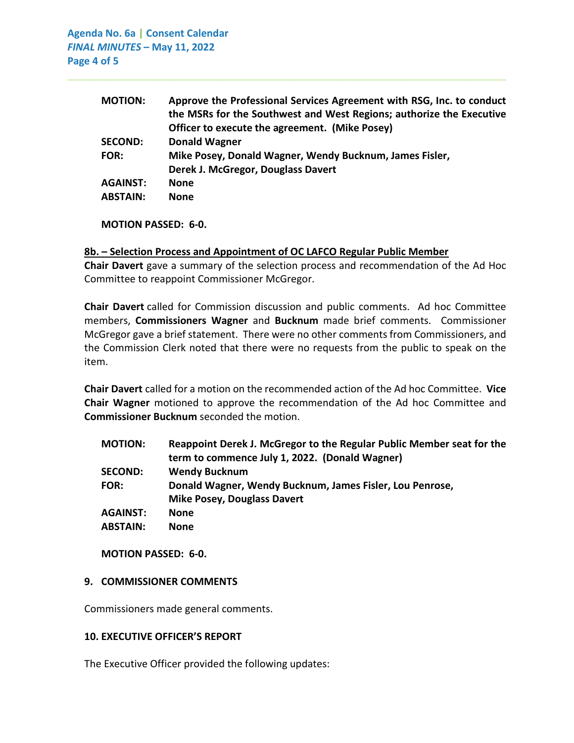**Agenda No. 6a | Consent Calendar** *FINAL MINUTES –* **May 11, 2022 Page 4 of 5**

| <b>MOTION:</b>  | Approve the Professional Services Agreement with RSG, Inc. to conduct |
|-----------------|-----------------------------------------------------------------------|
|                 | the MSRs for the Southwest and West Regions; authorize the Executive  |
|                 | Officer to execute the agreement. (Mike Posey)                        |
| <b>SECOND:</b>  | <b>Donald Wagner</b>                                                  |
| <b>FOR:</b>     | Mike Posey, Donald Wagner, Wendy Bucknum, James Fisler,               |
|                 | Derek J. McGregor, Douglass Davert                                    |
| <b>AGAINST:</b> | <b>None</b>                                                           |
| <b>ABSTAIN:</b> | <b>None</b>                                                           |
|                 |                                                                       |

 $\_$  , and the set of the set of the set of the set of the set of the set of the set of the set of the set of the set of the set of the set of the set of the set of the set of the set of the set of the set of the set of th

**MOTION PASSED: 6-0.**

#### **8b. – Selection Process and Appointment of OC LAFCO Regular Public Member**

**Chair Davert** gave a summary of the selection process and recommendation of the Ad Hoc Committee to reappoint Commissioner McGregor.

**Chair Davert** called for Commission discussion and public comments. Ad hoc Committee members, **Commissioners Wagner** and **Bucknum** made brief comments. Commissioner McGregor gave a brief statement. There were no other comments from Commissioners, and the Commission Clerk noted that there were no requests from the public to speak on the item.

**Chair Davert** called for a motion on the recommended action of the Ad hoc Committee. **Vice Chair Wagner** motioned to approve the recommendation of the Ad hoc Committee and **Commissioner Bucknum** seconded the motion.

| <b>MOTION:</b>  | Reappoint Derek J. McGregor to the Regular Public Member seat for the |
|-----------------|-----------------------------------------------------------------------|
|                 | term to commence July 1, 2022. (Donald Wagner)                        |
| <b>SECOND:</b>  | <b>Wendy Bucknum</b>                                                  |
| <b>FOR:</b>     | Donald Wagner, Wendy Bucknum, James Fisler, Lou Penrose,              |
|                 | <b>Mike Posey, Douglass Davert</b>                                    |
| <b>AGAINST:</b> | <b>None</b>                                                           |
| <b>ABSTAIN:</b> | <b>None</b>                                                           |
|                 |                                                                       |

**MOTION PASSED: 6-0.**

#### **9. COMMISSIONER COMMENTS**

Commissioners made general comments.

#### **10. EXECUTIVE OFFICER'S REPORT**

The Executive Officer provided the following updates: